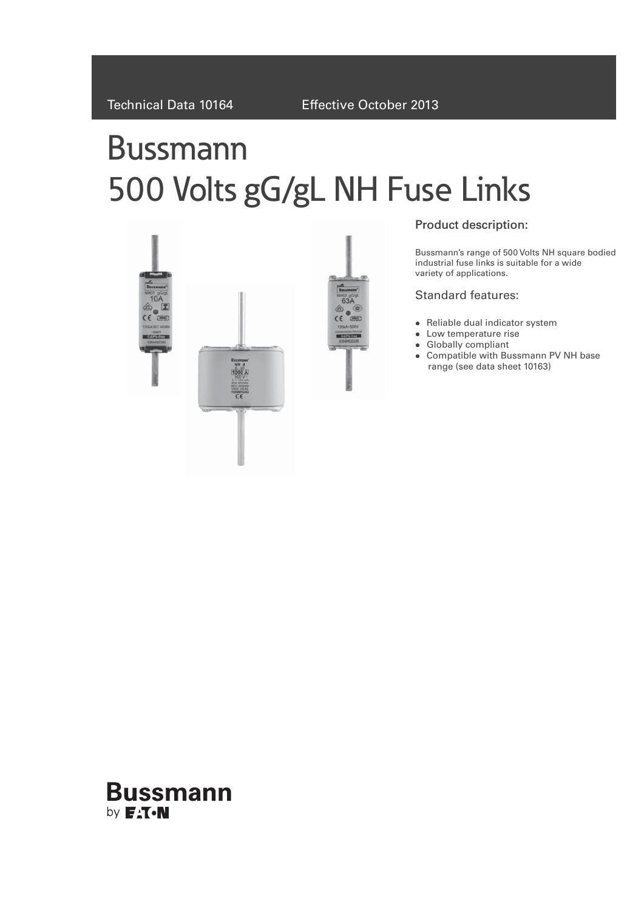# $500$  Volts



#### Product description:

Bussmann's range of 500 Volts NH square bodied industrial fuse links is suitable for a wide variety of applications.

#### Standard features:

- Reliable dual indicator system
- Low temperature rise
- Globally compliant
- Compatible with Bussmann PV NH base range (see data sheet 10163)

# **Bussmann** by **F<sub>1</sub>T**.N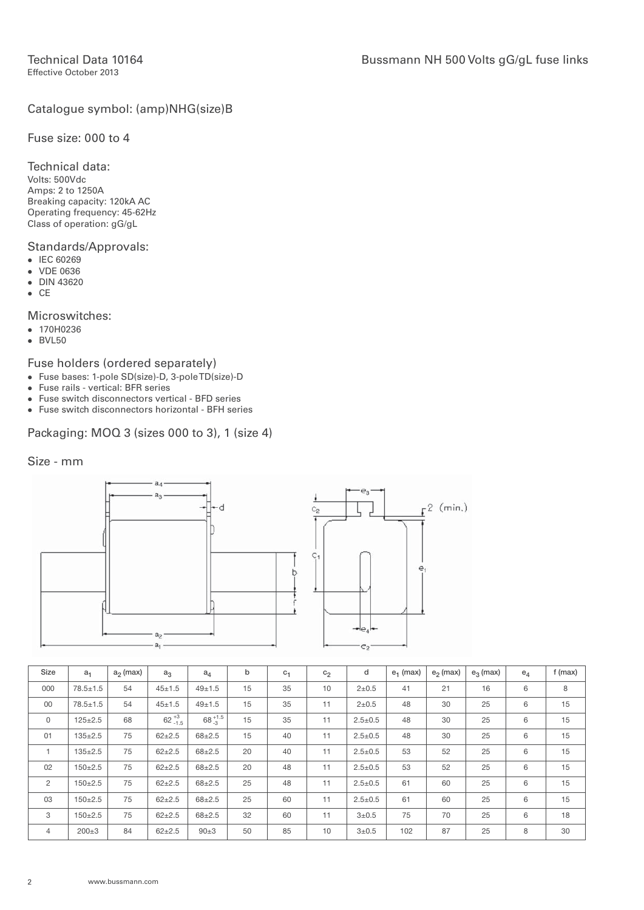#### Catalogue symbol: (amp)NHG(size)B

Fuse size: 000 to 4

Technical data: Volts: 500Vdc Amps: 2 to 1250A Breaking capacity: 120kA AC

Operating frequency: 45-62Hz Class of operation: gG/gL

Standards/Approvals:

- IEC 60269
- VDE 0636
- DIN 43620
- $\bullet$  CE

Microswitches:

- 170H0236
- BVL50

Fuse holders (ordered separately)

- Fuse bases: 1-pole SD(size)-D, 3-pole TD(size)-D
- Fuse rails vertical: BFR series
- Fuse switch disconnectors vertical BFD series
- Fuse switch disconnectors horizontal BFH series

Packaging: MOQ 3 (sizes 000 to 3), 1 (size 4)

#### Size - mm



| Size           | a <sub>1</sub> | $a_2$ (max) | $a_3$            | $a_4$            | b  | $c_{1}$ | c <sub>2</sub> | d             | $e_1$ (max) | $e_2$ (max) | $e_3$ (max) | $e_4$ | $f$ (max) |
|----------------|----------------|-------------|------------------|------------------|----|---------|----------------|---------------|-------------|-------------|-------------|-------|-----------|
| 000            | $78.5 \pm 1.5$ | 54          | $45 + 1.5$       | $49 + 1.5$       | 15 | 35      | 10             | $2 + 0.5$     | 41          | 21          | 16          | 6     | 8         |
| 00             | $78.5 \pm 1.5$ | 54          | $45 + 1.5$       | $49 + 1.5$       | 15 | 35      | 11             | $2 + 0.5$     | 48          | 30          | 25          | 6     | 15        |
| 0              | $125 \pm 2.5$  | 68          | $62^{+3}_{-1.5}$ | $68^{+1.5}_{-3}$ | 15 | 35      | 11             | $2.5 \pm 0.5$ | 48          | 30          | 25          | 6     | 15        |
| 01             | $135 \pm 2.5$  | 75          | $62 + 2.5$       | $68 + 2.5$       | 15 | 40      | 11             | $2.5 \pm 0.5$ | 48          | 30          | 25          | 6     | 15        |
| $\mathbf{1}$   | $135 \pm 2.5$  | 75          | $62 + 2.5$       | $68 + 2.5$       | 20 | 40      | 11             | $2.5 \pm 0.5$ | 53          | 52          | 25          | 6     | 15        |
| 02             | $150 + 2.5$    | 75          | $62 + 2.5$       | $68 + 2.5$       | 20 | 48      | 11             | $2.5 \pm 0.5$ | 53          | 52          | 25          | 6     | 15        |
| $\overline{2}$ | $150 + 2.5$    | 75          | $62 + 2.5$       | $68 + 2.5$       | 25 | 48      | 11             | $2.5 \pm 0.5$ | 61          | 60          | 25          | 6     | 15        |
| 03             | $150 + 2.5$    | 75          | $62 + 2.5$       | $68 + 2.5$       | 25 | 60      | 11             | $2.5 \pm 0.5$ | 61          | 60          | 25          | 6     | 15        |
| 3              | $150 \pm 2.5$  | 75          | $62 + 2.5$       | $68 + 2.5$       | 32 | 60      | 11             | $3 + 0.5$     | 75          | 70          | 25          | 6     | 18        |
| 4              | $200 \pm 3$    | 84          | $62 + 2.5$       | $90+3$           | 50 | 85      | 10             | $3 + 0.5$     | 102         | 87          | 25          | 8     | 30        |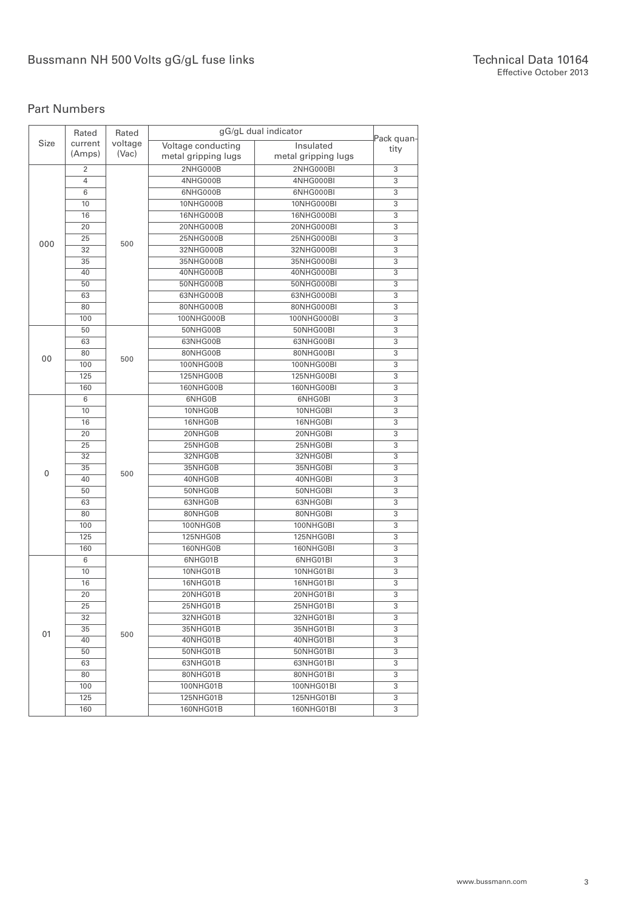## Bussmann NH 500 Volts gG/gL fuse links Technical Data 10164

#### Part Numbers

|      | Rated          | Rated   |                      | gG/gL dual indicator   | Pack quan-          |
|------|----------------|---------|----------------------|------------------------|---------------------|
| Size | current        | voltage | Voltage conducting   | Insulated              | tity                |
|      | (Amps)         | (Vac)   | metal gripping lugs  | metal gripping lugs    |                     |
|      | $\overline{2}$ |         | 2NHG000B             | 2NHG000BI              | 3                   |
|      | $\overline{4}$ |         | 4NHG000B             | 4NHG000BI              | 3                   |
|      | 6              |         | 6NHG000B             | 6NHG000BI              | 3                   |
|      | 10             |         | 10NHG000B            | 10NHG000BI             | 3                   |
|      | 16             |         | 16NHG000B            | 16NHG000BI             | 3                   |
|      | 20             |         | 20NHG000B            | 20NHG000BI             | $\overline{3}$      |
|      | 25             |         | 25NHG000B            | 25NHG000BI             | 3                   |
| 000  | 32             | 500     | 32NHG000B            | 32NHG000BI             | 3                   |
|      | 35             |         | 35NHG000B            | 35NHG000BI             | 3                   |
|      | 40             |         | 40NHG000B            | 40NHG000BI             | 3                   |
|      | 50             |         | 50NHG000B            | 50NHG000BI             | 3                   |
|      | 63             |         | 63NHG000B            | 63NHG000BI             | 3                   |
|      | 80             |         | 80NHG000B            | 80NHG000BI             | 3                   |
|      | 100            |         | 100NHG000B           | 100NHG000BI            | 3                   |
|      | 50             |         | 50NHG00B             | 50NHG00BI              | 3                   |
|      | 63             |         | 63NHG00B             | 63NHG00BI              | 3                   |
|      | 80             |         | 80NHG00B             | 80NHG00BI              | 3                   |
| 00   | 100            | 500     | 100NHG00B            | 100NHG00BI             | 3                   |
|      | 125            |         | 125NHG00B            | 125NHG00BI             | 3                   |
|      | 160            |         | 160NHG00B            | 160NHG00BI             | 3                   |
|      | 6              |         | 6NHG0B               | 6NHG0BI                | 3                   |
|      | 10             |         | 10NHG0B              | 10NHG0BI               | 3                   |
|      | 16             |         | 16NHG0B              | 16NHG0BI               | 3                   |
|      | 20             |         | 20NHG0B              | 20NHG0BI               | 3                   |
|      | 25             |         | 25NHG0B              | 25NHG0BI               | 3                   |
|      | 32             |         | 32NHG0B              | 32NHG0BI               | 3                   |
|      | 35             |         | 35NHG0B              | 35NHG0BI               | 3                   |
| 0    | 40             | 500     | 40NHG0B              | 40NHG0BI               | $\overline{3}$      |
|      |                |         |                      |                        |                     |
|      | 50             |         | 50NHG0B              | 50NHG0BI               | 3<br>3              |
|      | 63             |         | 63NHG0B              | 63NHG0BI               | 3                   |
|      | 80             |         | 80NHG0B              | 80NHG0BI               |                     |
|      | 100<br>125     |         | 100NHG0B             | 100NHG0BI              | 3                   |
|      | 160            |         | 125NHG0B<br>160NHG0B | 125NHG0BI<br>160NHG0BI | 3<br>3              |
|      | 6              |         | 6NHG01B              | 6NHG01BI               | 3                   |
|      |                |         | 10NHG01B             | 10NHG01BI              |                     |
|      | 10<br>16       |         | 16NHG01B             | 16NHG01BI              | 3<br>$\overline{3}$ |
|      |                |         |                      |                        |                     |
|      | 20             |         | 20NHG01B             | 20NHG01BI              | 3                   |
|      | 25             |         | 25NHG01B             | 25NHG01BI              | 3                   |
|      | 32             |         | 32NHG01B             | 32NHG01BI              | 3                   |
| 01   | 35             | 500     | 35NHG01B             | 35NHG01BI              | 3                   |
|      | 40             |         | 40NHG01B             | 40NHG01BI              | 3                   |
|      | 50             |         | 50NHG01B             | 50NHG01BI              | 3                   |
|      | 63             |         | 63NHG01B             | 63NHG01BI              | 3                   |
|      | 80             |         | 80NHG01B             | 80NHG01BI              | 3                   |
|      | 100            |         | 100NHG01B            | 100NHG01BI             | 3                   |
|      | 125            |         | 125NHG01B            | 125NHG01BI             | 3                   |
|      | 160            |         | 160NHG01B            | 160NHG01BI             | 3                   |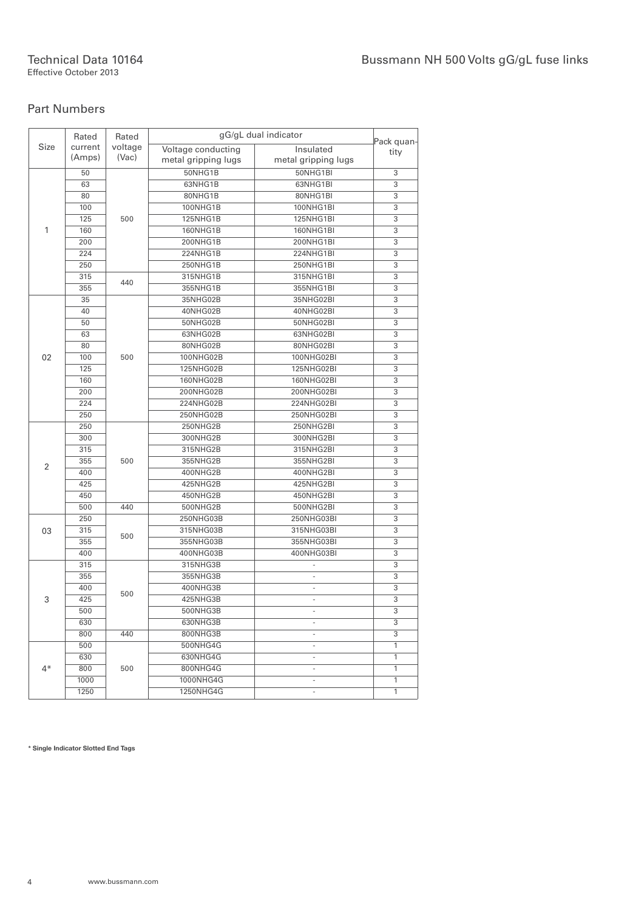#### Part Numbers

|      | Rated   | Rated   |                     | gG/gL dual indicator     |                    |
|------|---------|---------|---------------------|--------------------------|--------------------|
| Size | current | voltage | Voltage conducting  | Insulated                | Pack quan-<br>tity |
|      | (Amps)  | (Vac)   | metal gripping lugs | metal gripping lugs      |                    |
|      | 50      |         | 50NHG1B             | 50NHG1BI                 | 3                  |
|      | 63      |         | 63NHG1B             | 63NHG1BI                 | 3                  |
|      | 80      |         | 80NHG1B             | 80NHG1BI                 | 3                  |
|      | 100     |         | 100NHG1B            | 100NHG1BI                | 3                  |
|      | 125     | 500     | 125NHG1B            | 125NHG1BI                | 3                  |
| 1    | 160     |         | 160NHG1B            | 160NHG1BI                | 3                  |
|      | 200     |         | 200NHG1B            | 200NHG1BI                | 3                  |
|      | 224     |         | 224NHG1B            | 224NHG1BI                | 3                  |
|      | 250     |         | 250NHG1B            | 250NHG1BI                | 3                  |
|      | 315     |         | 315NHG1B            | 315NHG1BI                | 3                  |
|      | 355     | 440     | 355NHG1B            | 355NHG1BI                | 3                  |
|      | 35      |         | 35NHG02B            | 35NHG02BI                | 3                  |
|      | 40      |         | 40NHG02B            | 40NHG02BI                | 3                  |
|      | 50      |         | 50NHG02B            | 50NHG02BI                | 3                  |
|      | 63      |         | 63NHG02B            | 63NHG02BI                | 3                  |
|      | 80      |         | 80NHG02B            | 80NHG02BI                | 3                  |
| 02   | 100     | 500     | 100NHG02B           | 100NHG02BI               | 3                  |
|      | 125     |         | 125NHG02B           | 125NHG02BI               | 3                  |
|      | 160     |         | 160NHG02B           | 160NHG02BI               | 3                  |
|      | 200     |         | 200NHG02B           | 200NHG02BI               | 3                  |
|      | 224     |         | 224NHG02B           | 224NHG02BI               | 3                  |
|      | 250     |         | 250NHG02B           | 250NHG02BI               | 3                  |
|      | 250     |         | 250NHG2B            | 250NHG2BI                | 3                  |
|      | 300     |         | 300NHG2B            | 300NHG2BI                | 3                  |
|      | 315     |         | 315NHG2B            | 315NHG2BI                | 3                  |
|      | 355     | 500     | 355NHG2B            | 355NHG2BI                | 3                  |
| 2    | 400     |         | 400NHG2B            | 400NHG2BI                | 3                  |
|      | 425     |         | 425NHG2B            | 425NHG2BI                | 3                  |
|      | 450     |         | 450NHG2B            | 450NHG2BI                | 3                  |
|      | 500     | 440     | 500NHG2B            | 500NHG2BI                | 3                  |
|      | 250     |         | 250NHG03B           | 250NHG03BI               | 3                  |
| 03   | 315     |         | 315NHG03B           | 315NHG03BI               | 3                  |
|      | 355     | 500     | 355NHG03B           | 355NHG03BI               | 3                  |
|      | 400     |         | 400NHG03B           | 400NHG03BI               | 3                  |
|      | 315     |         | 315NHG3B            | ÷                        | 3                  |
|      | 355     |         | 355NHG3B            |                          | 3                  |
|      | 400     | 500     | 400NHG3B            | ÷                        | 3                  |
| 3    | 425     |         | 425NHG3B            |                          | 3                  |
|      | 500     |         | 500NHG3B            |                          | 3                  |
|      | 630     |         | 630NHG3B            | $\overline{\phantom{a}}$ | 3                  |
|      | 800     | 440     | 800NHG3B            | $\overline{a}$           | 3                  |
|      | 500     |         | 500NHG4G            | ٠                        | $\mathbf{1}$       |
|      | 630     |         | 630NHG4G            | $\overline{\phantom{a}}$ | 1                  |
| $4*$ | 800     | 500     | 800NHG4G            | ۰                        | 1                  |
|      | 1000    |         | 1000NHG4G           | ٠                        | 1                  |
|      | 1250    |         | 1250NHG4G           | $\overline{\phantom{a}}$ | 1                  |

#### **\* Single Indicator Slotted End Tags**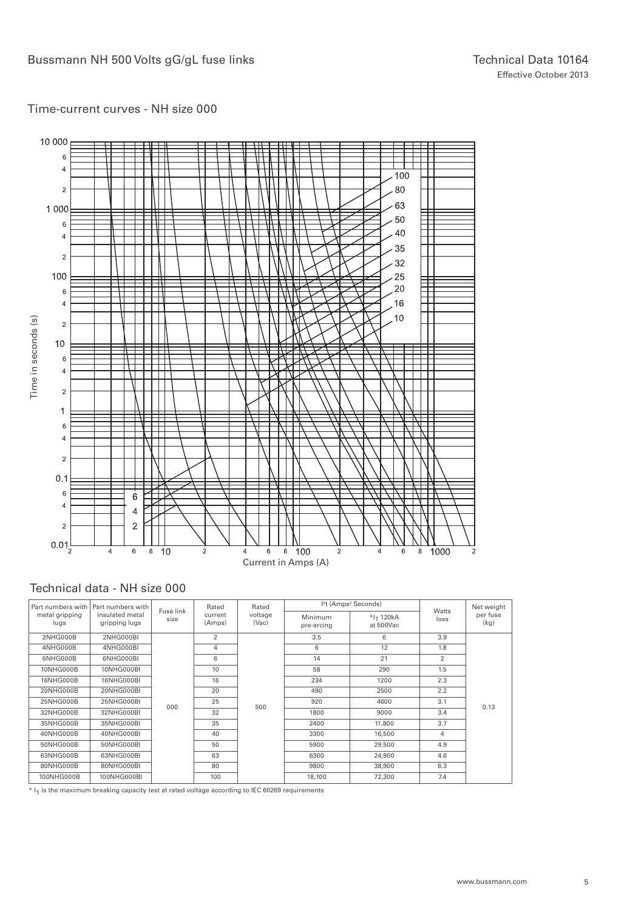

| Part numbers with I    | Part numbers with                | Fuse link | Rated             | Rated            |                       | <sup>2</sup> t (Amps <sup>2</sup> Seconds) | Watts          | Net weight       |
|------------------------|----------------------------------|-----------|-------------------|------------------|-----------------------|--------------------------------------------|----------------|------------------|
| metal gripping<br>lugs | insulated metal<br>gripping lugs | size      | current<br>(Amps) | voltage<br>(Vac) | Minimum<br>pre-arcing | $*I_1$ 120kA<br>at 500Vac                  | loss           | per fuse<br>(kg) |
| 2NHG000B               | 2NHG000BI                        |           | $\overline{2}$    |                  | 3.5                   | 6                                          | 3.9            |                  |
| 4NHG000B               | 4NHG000BI                        |           | $\overline{4}$    |                  | 6                     | 12                                         | 1.8            |                  |
| 6NHG000B               | 6NHG000BI                        |           | 6                 |                  | 14                    | 21                                         | $\overline{2}$ |                  |
| 10NHG000B              | 10NHG000BI                       |           | 10                |                  | 58                    | 290                                        | 1.5            |                  |
| 16NHG000B              | 16NHG000BI                       |           | 16                | 500              | 234                   | 1200                                       | 2.3            |                  |
| 20NHG000B              | 20NHG000BI                       |           | 20                |                  | 490                   | 2500                                       | 2.2            |                  |
| 25NHG000B              | 25NHG000BI                       | 000       | 25                |                  | 920                   | 4600                                       | 3.1            | 0.13             |
| 32NHG000B              | 32NHG000BI                       |           | 32                |                  | 1800                  | 9000                                       | 3.4            |                  |
| 35NHG000B              | 35NHG000BI                       |           | 35                |                  | 2400                  | 11,800                                     | 3.7            |                  |
| 40NHG000B              | 40NHG000BI                       |           | 40                |                  | 3300                  | 16,500                                     | $\overline{4}$ |                  |
| 50NHG000B              | 50NHG000BI                       |           | 50                |                  | 5900                  | 29,500                                     | 4.9            |                  |
| 63NHG000B              | 63NHG000BI                       |           | 63                |                  | 6300                  | 24,900                                     | 4.6            |                  |
| 80NHG000B              | 80NHG000BI                       |           | 80                |                  | 9800                  | 38,900                                     | 6.3            |                  |
| 100NHG000B             | 100NHG000BI                      |           | 100               |                  | 18,100                | 72,300                                     | 7.4            |                  |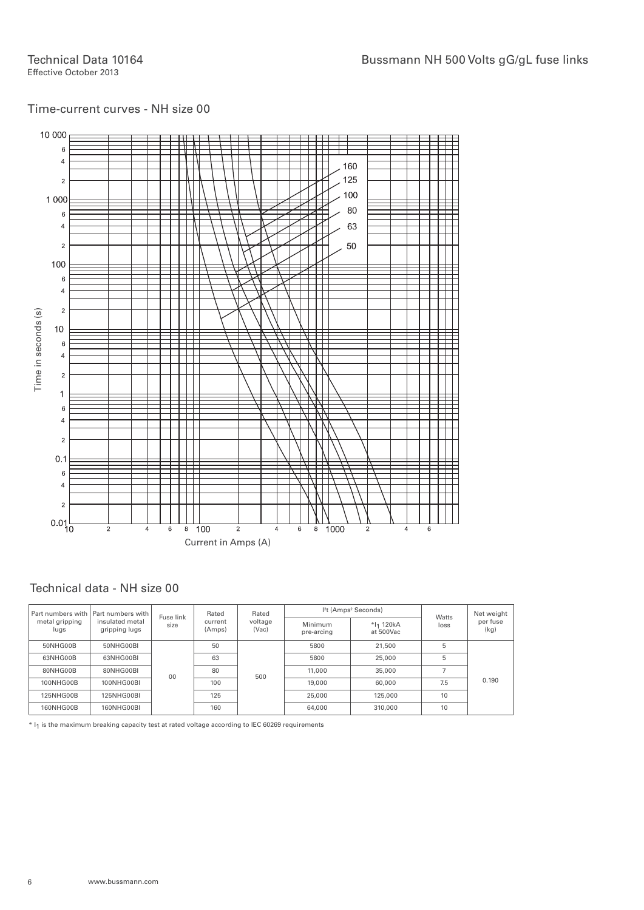

|                        | Part numbers with   Part numbers with | Fuse link | Rated             | Rated            |                       | $l2t$ (Amps <sup>2</sup> Seconds) | Watts | Net weight<br>per fuse<br>(kg) |
|------------------------|---------------------------------------|-----------|-------------------|------------------|-----------------------|-----------------------------------|-------|--------------------------------|
| metal gripping<br>lugs | insulated metal<br>gripping lugs      | size      | current<br>(Amps) | voltage<br>(Vac) | Minimum<br>pre-arcing | $*I_1$ 120 kA<br>at 500Vac        | loss  |                                |
| 50NHG00B               | 50NHG00BI                             |           | 50                | 500              | 5800                  | 21,500                            | 5     |                                |
| 63NHG00B               | 63NHG00BI                             |           | 63                |                  | 5800                  | 25,000                            | 5     |                                |
| 80NHG00B               | 80NHG00BI                             | 00        | 80                |                  | 11,000                | 35,000                            |       |                                |
| 100NHG00B              | 100NHG00BI                            |           | 100               |                  | 19,000                | 60,000                            | 7.5   | 0.190                          |
| 125NHG00B              | 125NHG00BI                            |           | 125               |                  | 25,000                | 125,000                           | 10    |                                |
| 160NHG00B              | 160NHG00BI                            |           | 160               |                  | 64,000                | 310,000                           | 10    |                                |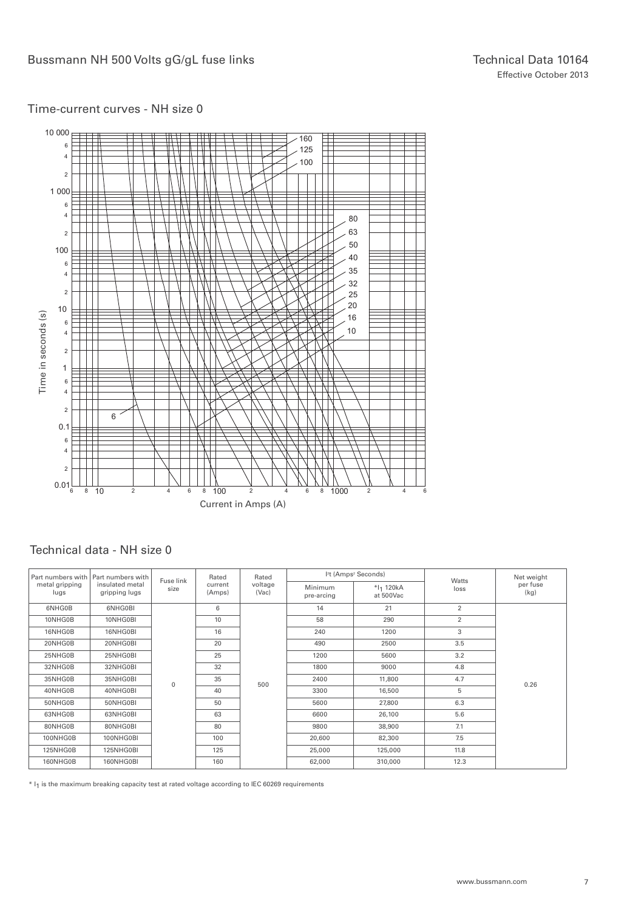

#### Technical data - NH size 0

| Part numbers with      | Part numbers with                | Fuse link   | Rated             | Rated            |                       | <sup>2</sup> t (Amps <sup>2</sup> Seconds) |                | Net weight<br>per fuse<br>(kg) |
|------------------------|----------------------------------|-------------|-------------------|------------------|-----------------------|--------------------------------------------|----------------|--------------------------------|
| metal gripping<br>lugs | insulated metal<br>gripping lugs | size        | current<br>(Amps) | voltage<br>(Vac) | Minimum<br>pre-arcing | $*1_1$ 120 kA<br>at 500Vac                 | Watts<br>loss  |                                |
| 6NHG0B                 | 6NHG0BI                          |             | 6                 |                  | 14                    | 21                                         | $\overline{2}$ |                                |
| 10NHG0B                | 10NHG0BI                         |             | 10                |                  | 58                    | 290                                        | 2              |                                |
| 16NHG0B                | 16NHG0BI                         |             | 16                |                  | 240                   | 1200                                       | 3              |                                |
| 20NHG0B                | 20NHG0BI                         |             | 20                |                  | 490                   | 2500                                       | 3.5            |                                |
| 25NHG0B                | 25NHG0BI                         |             | 25                |                  | 1200                  | 5600                                       | 3.2            |                                |
| 32NHG0B                | 32NHG0BI                         |             | 32                | 500              | 1800                  | 9000                                       | 4.8            |                                |
| 35NHG0B                | 35NHG0BI                         | $\mathbf 0$ | 35                |                  | 2400                  | 11,800                                     | 4.7            | 0.26                           |
| 40NHG0B                | 40NHG0BI                         |             | 40                |                  | 3300                  | 16,500                                     | 5              |                                |
| 50NHG0B                | 50NHG0BI                         |             | 50                |                  | 5600                  | 27,800                                     | 6.3            |                                |
| 63NHG0B                | 63NHG0BI                         |             | 63                |                  | 6600                  | 26,100                                     | 5.6            |                                |
| 80NHG0B                | 80NHG0BI                         |             | 80                |                  | 9800                  | 38,900                                     | 7.1            |                                |
| 100NHG0B               | 100NHG0BI                        |             | 100               |                  | 20,600                | 82,300                                     | 7.5            |                                |
| 125NHG0B               | 125NHG0BI                        |             | 125               |                  | 25,000                | 125,000                                    | 11.8           |                                |
| 160NHG0B               | 160NHG0BI                        |             | 160               |                  | 62,000                | 310,000                                    | 12.3           |                                |

 $*$   $I<sub>1</sub>$  is the maximum breaking capacity test at rated voltage according to IEC 60269 requirements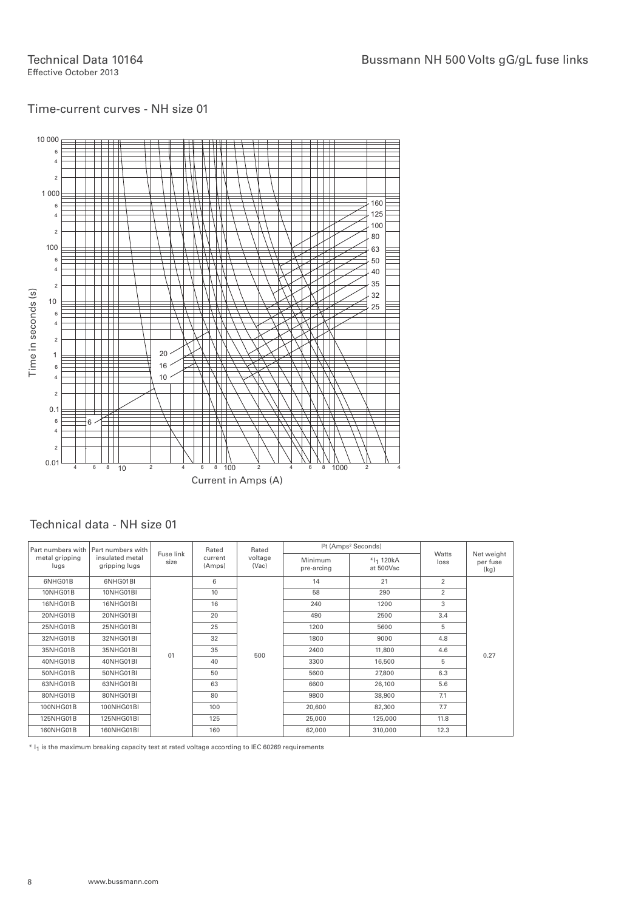Technical Data 10164 Effective October 2013

#### Time-current curves - NH size 01



|                        | Part numbers with   Part numbers with |                   | Rated                                 |                       | $12t$ (Amps <sup>2</sup> Seconds)<br>Rated |                      |                  | Net weight |
|------------------------|---------------------------------------|-------------------|---------------------------------------|-----------------------|--------------------------------------------|----------------------|------------------|------------|
| metal gripping<br>lugs | insulated metal<br>gripping lugs      | Fuse link<br>size | voltage<br>current<br>(Vac)<br>(Amps) | Minimum<br>pre-arcing | $*1_1$ 120 kA<br>at 500Vac                 | <b>Watts</b><br>loss | per fuse<br>(kg) |            |
| 6NHG01B                | 6NHG01BI                              |                   | 6                                     |                       | 14                                         | 21                   | $\overline{2}$   |            |
| 10NHG01B               | 10NHG01BI                             |                   | 10                                    |                       | 58                                         | 290                  | $\overline{2}$   |            |
| 16NHG01B               | 16NHG01BI                             |                   | 16                                    |                       | 240                                        | 1200                 | 3                |            |
| 20NHG01B               | 20NHG01BI                             |                   | 20                                    |                       | 490                                        | 2500                 | 3.4              |            |
| 25NHG01B               | 25NHG01BI                             |                   | 25                                    |                       | 1200                                       | 5600                 | 5                |            |
| 32NHG01B               | 32NHG01BI                             |                   | 32                                    | 500                   | 1800                                       | 9000                 | 4.8              |            |
| 35NHG01B               | 35NHG01BI                             | 01                | 35                                    |                       | 2400                                       | 11,800               | 4.6              | 0.27       |
| 40NHG01B               | 40NHG01BI                             |                   | 40                                    |                       | 3300                                       | 16,500               | 5                |            |
| 50NHG01B               | 50NHG01BI                             |                   | 50                                    |                       | 5600                                       | 27,800               | 6.3              |            |
| 63NHG01B               | 63NHG01BI                             |                   | 63                                    |                       | 6600                                       | 26,100               | 5.6              |            |
| 80NHG01B               | 80NHG01BI                             |                   | 80                                    |                       | 9800                                       | 38,900               | 7.1              |            |
| 100NHG01B              | 100NHG01BI                            |                   | 100                                   |                       | 20,600                                     | 82,300               | 7.7              |            |
| 125NHG01B              | 125NHG01BI                            |                   | 125                                   |                       | 25,000                                     | 125,000              | 11.8             |            |
| 160NHG01B              | 160NHG01BI                            |                   | 160                                   |                       | 62,000                                     | 310,000              | 12.3             |            |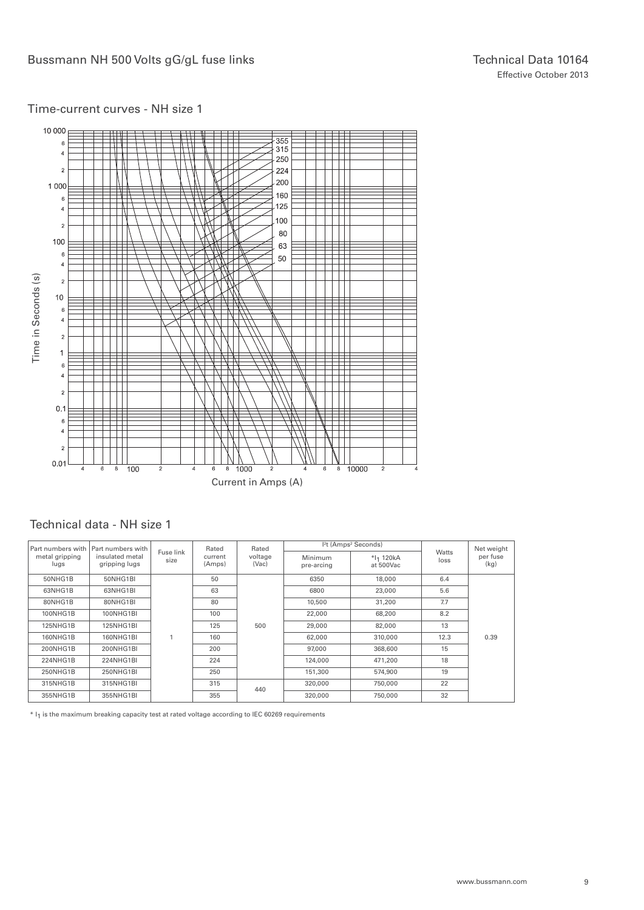

| Part numbers with I    | Part numbers with                |                   | Rated             | Rated            |                       | <sup>2</sup> t (Amps <sup>2</sup> Seconds) |                      | Net weight       |
|------------------------|----------------------------------|-------------------|-------------------|------------------|-----------------------|--------------------------------------------|----------------------|------------------|
| metal gripping<br>lugs | insulated metal<br>gripping lugs | Fuse link<br>size | current<br>(Amps) | voltage<br>(Vac) | Minimum<br>pre-arcing | $*I_1$ 120kA<br>at 500Vac                  | <b>Watts</b><br>loss | per fuse<br>(kg) |
| 50NHG1B                | 50NHG1BI                         |                   | 50                |                  | 6350                  | 18,000                                     | 6.4                  |                  |
| 63NHG1B                | 63NHG1BI                         |                   | 63                |                  | 6800                  | 23,000                                     | 5.6                  |                  |
| 80NHG1B                | 80NHG1BI                         |                   | 80                |                  | 10,500                | 31,200                                     | 7.7                  |                  |
| 100NHG1B               | 100NHG1BI                        |                   | 100               | 500              | 22,000                | 68,200                                     | 8.2                  |                  |
| <b>125NHG1B</b>        | 125NHG1BI                        |                   | 125               |                  | 29,000                | 82,000                                     | 13                   |                  |
| 160NHG1B               | 160NHG1BI                        |                   | 160               |                  | 62,000                | 310,000                                    | 12.3                 | 0.39             |
| 200NHG1B               | 200NHG1BI                        |                   | 200               |                  | 97,000                | 368,600                                    | 15                   |                  |
| 224NHG1B               | 224NHG1BI                        |                   | 224               |                  | 124,000               | 471,200                                    | 18                   |                  |
| 250NHG1B               | 250NHG1BI                        |                   | 250               |                  | 151,300               | 574,900                                    | 19                   |                  |
| 315NHG1B               | 315NHG1BI                        |                   | 315               |                  | 320,000               | 750,000                                    | 22                   |                  |
| 355NHG1B               | 355NHG1BI                        |                   | 355               | 440              | 320,000               | 750,000                                    | 32                   |                  |

 $*$   $I<sub>1</sub>$  is the maximum breaking capacity test at rated voltage according to IEC 60269 requirements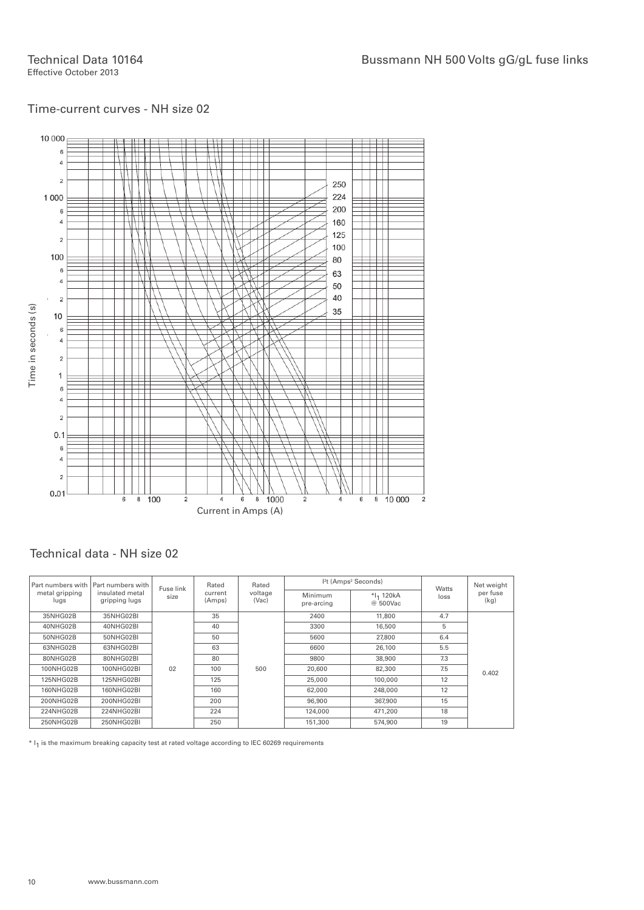Technical Data 10164 Effective October 2013

#### Time-current curves - NH size 02



#### Technical data - NH size 02

|                        | Part numbers with   Part numbers with | Fuse link | Rated             | Rated            |                       | <sup>2</sup> t (Amps <sup>2</sup> Seconds) | Watts | Net weight<br>per fuse<br>(kg) |
|------------------------|---------------------------------------|-----------|-------------------|------------------|-----------------------|--------------------------------------------|-------|--------------------------------|
| metal gripping<br>lugs | insulated metal<br>gripping lugs      | size      | current<br>(Amps) | voltage<br>(Vac) | Minimum<br>pre-arcing | $*1_1$ 120 kA<br>@ 500Vac                  | loss  |                                |
| 35NHG02B               | 35NHG02BI                             |           | 35                |                  | 2400                  | 11,800                                     | 4.7   |                                |
| 40NHG02B               | 40NHG02BI                             |           | 40                |                  | 3300                  | 16,500                                     | 5     |                                |
| 50NHG02B               | 50NHG02BI                             |           | 50                |                  | 5600                  | 27,800                                     | 6.4   |                                |
| 63NHG02B               | 63NHG02BI                             |           | 63                | 500              | 6600                  | 26,100                                     | 5.5   |                                |
| 80NHG02B               | 80NHG02BI                             |           | 80                |                  | 9800                  | 38,900                                     | 7.3   |                                |
| 100NHG02B              | 100NHG02BI                            | 02        | 100               |                  | 20,600                | 82,300                                     | 7.5   | 0.402                          |
| 125NHG02B              | 125NHG02BI                            |           | 125               |                  | 25,000                | 100,000                                    | 12    |                                |
| 160NHG02B              | 160NHG02BI                            |           | 160               |                  | 62,000                | 248,000                                    | 12    |                                |
| 200NHG02B              | 200NHG02BI                            |           | 200               |                  | 96.900                | 367,900                                    | 15    |                                |
| 224NHG02B              | 224NHG02BI                            |           | 224               |                  | 124,000               | 471.200                                    | 18    |                                |
| 250NHG02B              | 250NHG02BI                            |           | 250               |                  | 151,300               | 574,900                                    | 19    |                                |

 $*$   $I<sub>1</sub>$  is the maximum breaking capacity test at rated voltage according to IEC 60269 requirements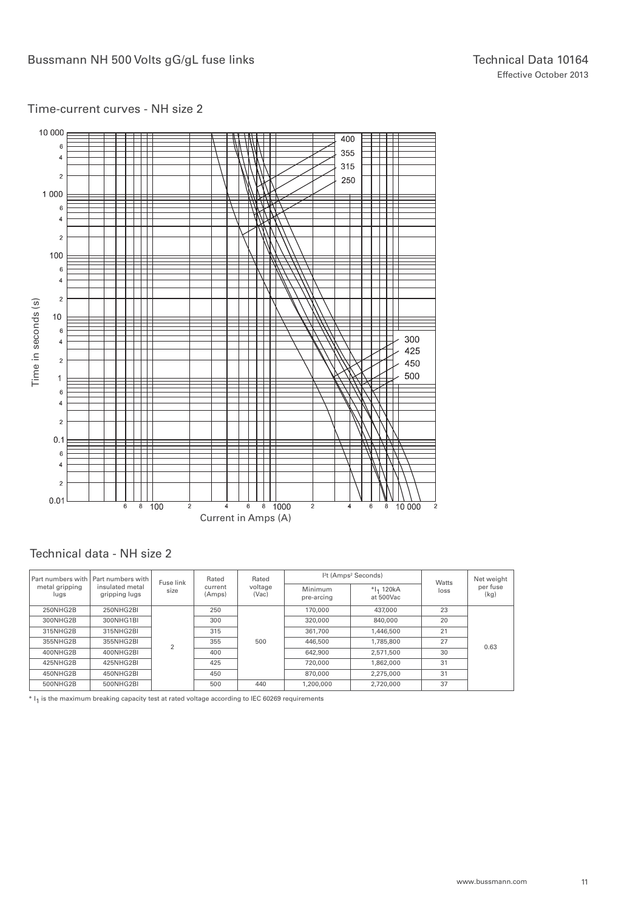

#### Technical data - NH size 2

|                        | Part numbers with   Part numbers with | Fuse link      | Rated                                 | Rated |                       | <sup>2</sup> t (Amps <sup>2</sup> Seconds) | Watts | Net weight       |
|------------------------|---------------------------------------|----------------|---------------------------------------|-------|-----------------------|--------------------------------------------|-------|------------------|
| metal gripping<br>lugs | insulated metal<br>gripping lugs      | size           | voltage<br>current<br>(Vac)<br>(Amps) |       | Minimum<br>pre-arcing | $*1_1$ 120 kA<br>at 500Vac                 | loss  | per fuse<br>(kg) |
| 250NHG2B               | 250NHG2BI                             |                | 250                                   |       | 170,000               | 437,000                                    | 23    |                  |
| 300NHG2B               | 300NHG1BI                             |                | 300                                   | 500   | 320,000               | 840,000                                    | 20    |                  |
| 315NHG2B               | 315NHG2BI                             |                | 315                                   |       | 361,700               | 1,446,500                                  | 21    |                  |
| 355NHG2B               | 355NHG2BI                             | $\overline{2}$ | 355                                   |       | 446,500               | 1,785,800                                  | 27    | 0.63             |
| 400NHG2B               | 400NHG2BI                             |                | 400                                   |       | 642,900               | 2,571,500                                  | 30    |                  |
| 425NHG2B               | 425NHG2BI                             |                | 425                                   |       | 720,000               | 1.862.000                                  | 31    |                  |
| 450NHG2B               | 450NHG2BI                             |                | 450                                   |       | 870,000               | 2.275.000                                  | 31    |                  |
| 500NHG2B               | 500NHG2BI                             |                | 500                                   | 440   | 1,200,000             | 2.720.000                                  | 37    |                  |

\* I1 is the maximum breaking capacity test at rated voltage according to IEC 60269 requirements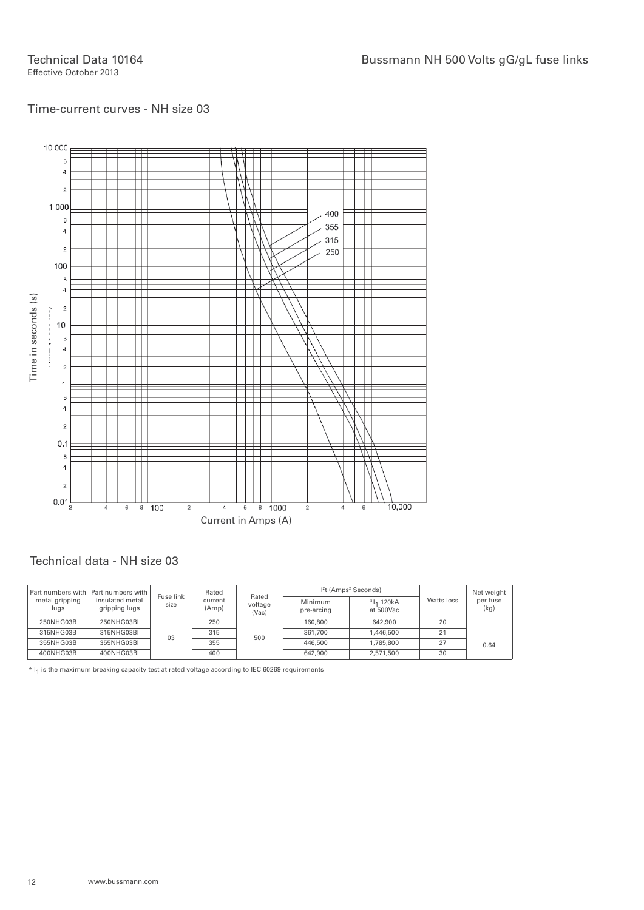

|                        | Part numbers with   Part numbers with | Fuse link | Rated            | Rated            |                       | $l2t$ (Amps <sup>2</sup> Seconds)  |            | Net weight       |
|------------------------|---------------------------------------|-----------|------------------|------------------|-----------------------|------------------------------------|------------|------------------|
| metal gripping<br>lugs | insulated metal<br>gripping lugs      | size      | current<br>(Amp) | voltage<br>(Vac) | Minimum<br>pre-arcing | *l <sub>1</sub> 120kA<br>at 500Vac | Watts loss | per fuse<br>(kg) |
| 250NHG03B              | 250NHG03BL                            |           | 250              |                  | 160,800               | 642,900                            | 20         |                  |
| 315NHG03B              | 315NHG03BL                            | 03        | 315              | 500              | 361,700               | 1,446,500                          | 21         |                  |
| 355NHG03B              | 355NHG03BI                            |           | 355              |                  | 446,500               | 1,785,800                          | 27         | 0.64             |
| 400NHG03B              | 400NHG03BI                            |           | 400              |                  | 642.900               | 2,571,500                          | 30         |                  |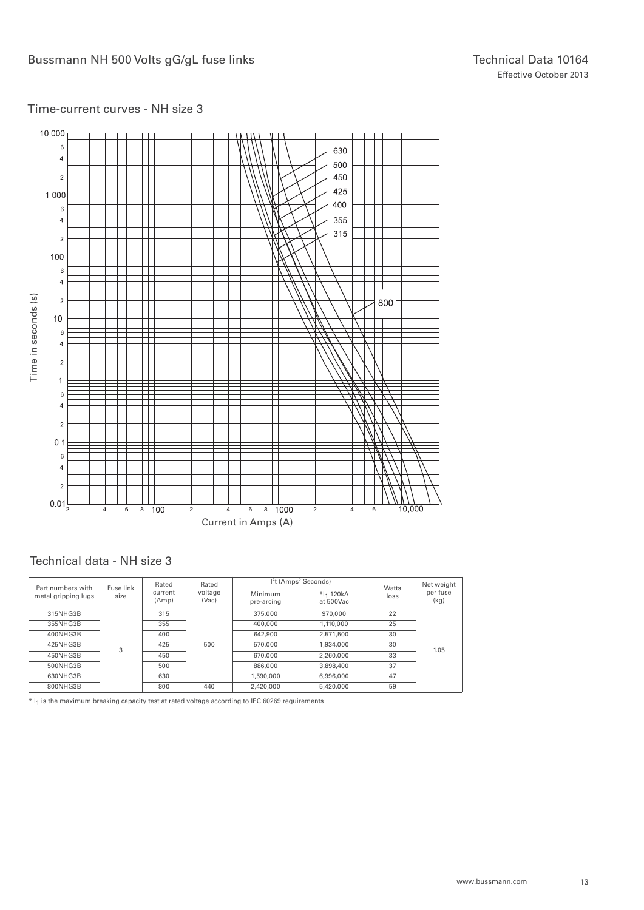### Bussmann NH 500 Volts gG/gL fuse links Technical Data 10164

#### Time-current curves - NH size 3



#### Technical data - NH size 3

| Part numbers with   | Fuse link | Rated            | Rated            |                       | <sup>2</sup> t (Amps <sup>2</sup> Seconds) |               | Net weight       |  |
|---------------------|-----------|------------------|------------------|-----------------------|--------------------------------------------|---------------|------------------|--|
| metal gripping lugs | size      | current<br>(Amp) | voltage<br>(Vac) | Minimum<br>pre-arcing | $*I_1$ 120kA<br>at 500Vac                  | Watts<br>loss | per fuse<br>(kg) |  |
| 315NHG3B            |           | 315              |                  | 375,000               | 970,000                                    | 22            |                  |  |
| 355NHG3B            |           | 355              |                  | 400,000               | 1,110,000                                  | 25            |                  |  |
| 400NHG3B            |           | 400              | 500              | 642,900               | 2,571,500                                  | 30            |                  |  |
| 425NHG3B            | 3         | 425              |                  | 570,000               | 1.934.000                                  | 30            | 1.05             |  |
| 450NHG3B            |           | 450              |                  | 670,000               | 2.260.000                                  | 33            |                  |  |
| 500NHG3B            |           | 500              |                  | 886,000               | 3.898.400                                  | 37            |                  |  |
| 630NHG3B            |           | 630              |                  | 1,590,000             | 6.996.000                                  | 47            |                  |  |
| 800NHG3B            |           | 800              | 440              | 2.420.000             | 5.420.000                                  | 59            |                  |  |

 $*$   $1<sub>1</sub>$  is the maximum breaking capacity test at rated voltage according to IEC 60269 requirements